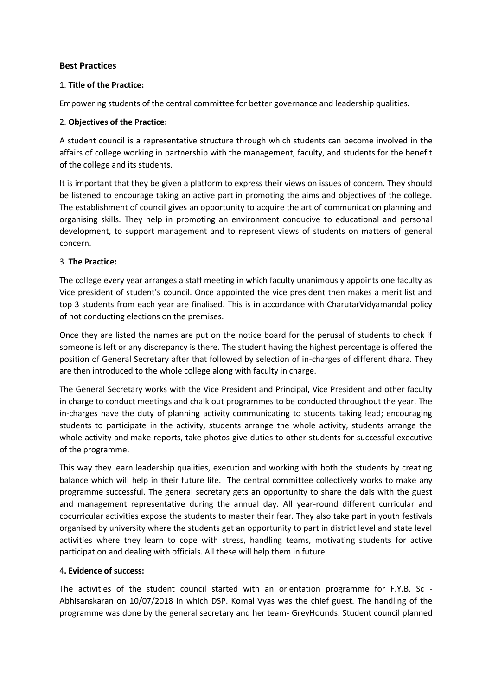# **Best Practices**

### 1. **Title of the Practice:**

Empowering students of the central committee for better governance and leadership qualities.

### 2. **Objectives of the Practice:**

A student council is a representative structure through which students can become involved in the affairs of college working in partnership with the management, faculty, and students for the benefit of the college and its students.

It is important that they be given a platform to express their views on issues of concern. They should be listened to encourage taking an active part in promoting the aims and objectives of the college. The establishment of council gives an opportunity to acquire the art of communication planning and organising skills. They help in promoting an environment conducive to educational and personal development, to support management and to represent views of students on matters of general concern.

## 3. **The Practice:**

The college every year arranges a staff meeting in which faculty unanimously appoints one faculty as Vice president of student's council. Once appointed the vice president then makes a merit list and top 3 students from each year are finalised. This is in accordance with CharutarVidyamandal policy of not conducting elections on the premises.

Once they are listed the names are put on the notice board for the perusal of students to check if someone is left or any discrepancy is there. The student having the highest percentage is offered the position of General Secretary after that followed by selection of in-charges of different dhara. They are then introduced to the whole college along with faculty in charge.

The General Secretary works with the Vice President and Principal, Vice President and other faculty in charge to conduct meetings and chalk out programmes to be conducted throughout the year. The in-charges have the duty of planning activity communicating to students taking lead; encouraging students to participate in the activity, students arrange the whole activity, students arrange the whole activity and make reports, take photos give duties to other students for successful executive of the programme.

This way they learn leadership qualities, execution and working with both the students by creating balance which will help in their future life. The central committee collectively works to make any programme successful. The general secretary gets an opportunity to share the dais with the guest and management representative during the annual day. All year-round different curricular and cocurricular activities expose the students to master their fear. They also take part in youth festivals organised by university where the students get an opportunity to part in district level and state level activities where they learn to cope with stress, handling teams, motivating students for active participation and dealing with officials. All these will help them in future.

# 4**. Evidence of success:**

The activities of the student council started with an orientation programme for F.Y.B. Sc - Abhisanskaran on 10/07/2018 in which DSP. Komal Vyas was the chief guest. The handling of the programme was done by the general secretary and her team- GreyHounds. Student council planned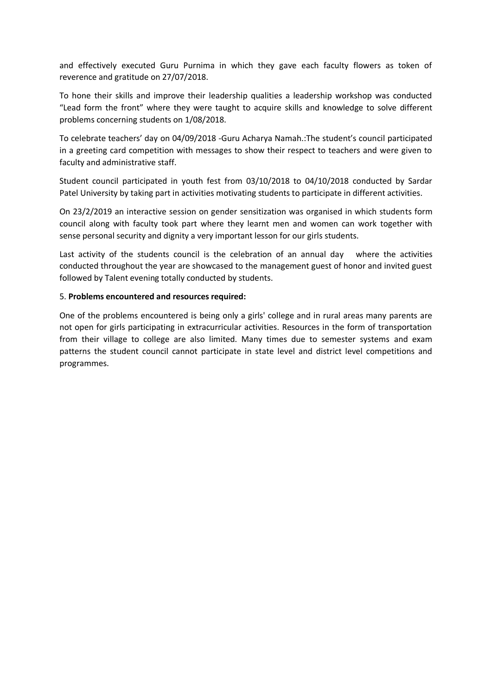and effectively executed Guru Purnima in which they gave each faculty flowers as token of reverence and gratitude on 27/07/2018.

To hone their skills and improve their leadership qualities a leadership workshop was conducted "Lead form the front" where they were taught to acquire skills and knowledge to solve different problems concerning students on 1/08/2018.

To celebrate teachers' day on 04/09/2018 -Guru Acharya Namah.:The student's council participated in a greeting card competition with messages to show their respect to teachers and were given to faculty and administrative staff.

Student council participated in youth fest from 03/10/2018 to 04/10/2018 conducted by Sardar Patel University by taking part in activities motivating students to participate in different activities.

On 23/2/2019 an interactive session on gender sensitization was organised in which students form council along with faculty took part where they learnt men and women can work together with sense personal security and dignity a very important lesson for our girls students.

Last activity of the students council is the celebration of an annual day where the activities conducted throughout the year are showcased to the management guest of honor and invited guest followed by Talent evening totally conducted by students.

#### 5. **Problems encountered and resources required:**

One of the problems encountered is being only a girls' college and in rural areas many parents are not open for girls participating in extracurricular activities. Resources in the form of transportation from their village to college are also limited. Many times due to semester systems and exam patterns the student council cannot participate in state level and district level competitions and programmes.